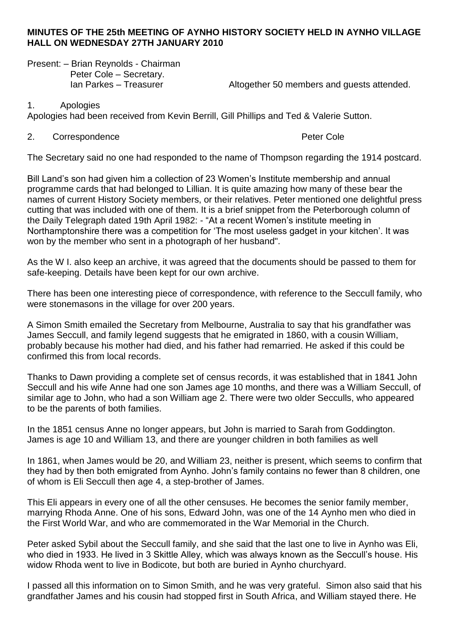#### **MINUTES OF THE 25th MEETING OF AYNHO HISTORY SOCIETY HELD IN AYNHO VILLAGE HALL ON WEDNESDAY 27TH JANUARY 2010**

Present: – Brian Reynolds - Chairman Peter Cole – Secretary.

Ian Parkes – Treasurer **Altogether 50 members and guests attended.** 

1. Apologies

Apologies had been received from Kevin Berrill, Gill Phillips and Ted & Valerie Sutton.

#### 2. Correspondence **Peter Cole**

The Secretary said no one had responded to the name of Thompson regarding the 1914 postcard.

Bill Land's son had given him a collection of 23 Women's Institute membership and annual programme cards that had belonged to Lillian. It is quite amazing how many of these bear the names of current History Society members, or their relatives. Peter mentioned one delightful press cutting that was included with one of them. It is a brief snippet from the Peterborough column of the Daily Telegraph dated 19th April 1982: - "At a recent Women's institute meeting in Northamptonshire there was a competition for 'The most useless gadget in your kitchen'. It was won by the member who sent in a photograph of her husband".

As the W I. also keep an archive, it was agreed that the documents should be passed to them for safe-keeping. Details have been kept for our own archive.

There has been one interesting piece of correspondence, with reference to the Seccull family, who were stonemasons in the village for over 200 years.

A Simon Smith emailed the Secretary from Melbourne, Australia to say that his grandfather was James Seccull, and family legend suggests that he emigrated in 1860, with a cousin William, probably because his mother had died, and his father had remarried. He asked if this could be confirmed this from local records.

Thanks to Dawn providing a complete set of census records, it was established that in 1841 John Seccull and his wife Anne had one son James age 10 months, and there was a William Seccull, of similar age to John, who had a son William age 2. There were two older Secculls, who appeared to be the parents of both families.

In the 1851 census Anne no longer appears, but John is married to Sarah from Goddington. James is age 10 and William 13, and there are younger children in both families as well

In 1861, when James would be 20, and William 23, neither is present, which seems to confirm that they had by then both emigrated from Aynho. John's family contains no fewer than 8 children, one of whom is Eli Seccull then age 4, a step-brother of James.

This Eli appears in every one of all the other censuses. He becomes the senior family member, marrying Rhoda Anne. One of his sons, Edward John, was one of the 14 Aynho men who died in the First World War, and who are commemorated in the War Memorial in the Church.

Peter asked Sybil about the Seccull family, and she said that the last one to live in Aynho was Eli, who died in 1933. He lived in 3 Skittle Alley, which was always known as the Seccull's house. His widow Rhoda went to live in Bodicote, but both are buried in Aynho churchyard.

I passed all this information on to Simon Smith, and he was very grateful. Simon also said that his grandfather James and his cousin had stopped first in South Africa, and William stayed there. He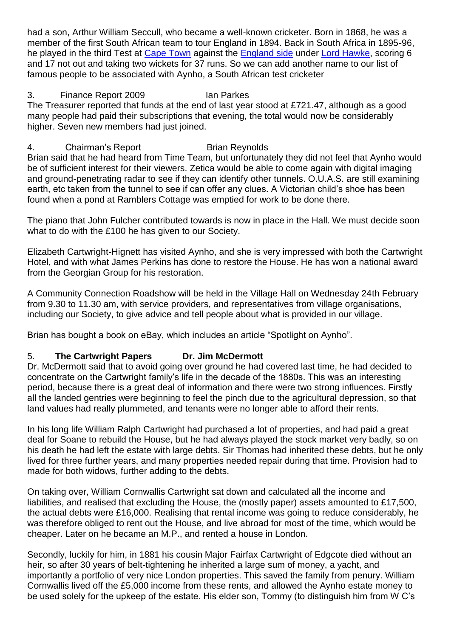had a son, Arthur William Seccull, who became a well-known cricketer. Born in 1868, he was a member of the first South African team to tour England in 1894. Back in South Africa in 1895-96, he played in the third Test at [Cape Town](http://en.wikipedia.org/wiki/Newlands_Cricket_Ground) against the **[England side](http://en.wikipedia.org/wiki/English_cricket_team) under Lord Hawke**, scoring 6 and 17 not out and taking two wickets for 37 runs. So we can add another name to our list of famous people to be associated with Aynho, a South African test cricketer

# 3. Finance Report 2009 Ian Parkes

The Treasurer reported that funds at the end of last year stood at £721.47, although as a good many people had paid their subscriptions that evening, the total would now be considerably higher. Seven new members had just joined.

# 4. Chairman's Report Brian Reynolds

Brian said that he had heard from Time Team, but unfortunately they did not feel that Aynho would be of sufficient interest for their viewers. Zetica would be able to come again with digital imaging and ground-penetrating radar to see if they can identify other tunnels. O.U.A.S. are still examining earth, etc taken from the tunnel to see if can offer any clues. A Victorian child's shoe has been found when a pond at Ramblers Cottage was emptied for work to be done there.

The piano that John Fulcher contributed towards is now in place in the Hall. We must decide soon what to do with the £100 he has given to our Society.

Elizabeth Cartwright-Hignett has visited Aynho, and she is very impressed with both the Cartwright Hotel, and with what James Perkins has done to restore the House. He has won a national award from the Georgian Group for his restoration.

A Community Connection Roadshow will be held in the Village Hall on Wednesday 24th February from 9.30 to 11.30 am, with service providers, and representatives from village organisations, including our Society, to give advice and tell people about what is provided in our village.

Brian has bought a book on eBay, which includes an article "Spotlight on Aynho".

### 5. **The Cartwright Papers Dr. Jim McDermott**

Dr. McDermott said that to avoid going over ground he had covered last time, he had decided to concentrate on the Cartwright family's life in the decade of the 1880s. This was an interesting period, because there is a great deal of information and there were two strong influences. Firstly all the landed gentries were beginning to feel the pinch due to the agricultural depression, so that land values had really plummeted, and tenants were no longer able to afford their rents.

In his long life William Ralph Cartwright had purchased a lot of properties, and had paid a great deal for Soane to rebuild the House, but he had always played the stock market very badly, so on his death he had left the estate with large debts. Sir Thomas had inherited these debts, but he only lived for three further years, and many properties needed repair during that time. Provision had to made for both widows, further adding to the debts.

On taking over, William Cornwallis Cartwright sat down and calculated all the income and liabilities, and realised that excluding the House, the (mostly paper) assets amounted to £17,500, the actual debts were £16,000. Realising that rental income was going to reduce considerably, he was therefore obliged to rent out the House, and live abroad for most of the time, which would be cheaper. Later on he became an M.P., and rented a house in London.

Secondly, luckily for him, in 1881 his cousin Major Fairfax Cartwright of Edgcote died without an heir, so after 30 years of belt-tightening he inherited a large sum of money, a yacht, and importantly a portfolio of very nice London properties. This saved the family from penury. William Cornwallis lived off the £5,000 income from these rents, and allowed the Aynho estate money to be used solely for the upkeep of the estate. His elder son, Tommy (to distinguish him from W C's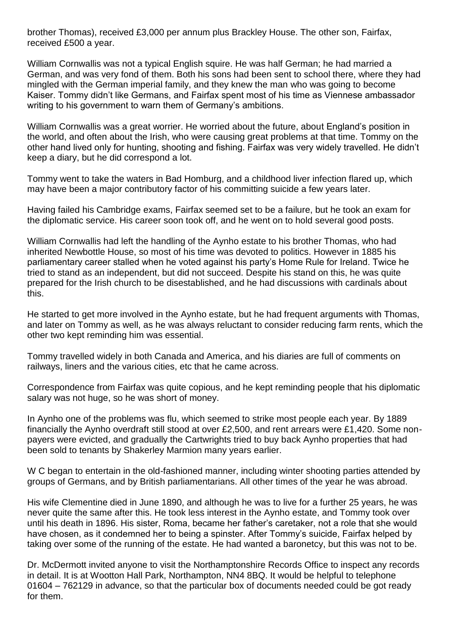brother Thomas), received £3,000 per annum plus Brackley House. The other son, Fairfax, received £500 a year.

William Cornwallis was not a typical English squire. He was half German; he had married a German, and was very fond of them. Both his sons had been sent to school there, where they had mingled with the German imperial family, and they knew the man who was going to become Kaiser. Tommy didn't like Germans, and Fairfax spent most of his time as Viennese ambassador writing to his government to warn them of Germany's ambitions.

William Cornwallis was a great worrier. He worried about the future, about England's position in the world, and often about the Irish, who were causing great problems at that time. Tommy on the other hand lived only for hunting, shooting and fishing. Fairfax was very widely travelled. He didn't keep a diary, but he did correspond a lot.

Tommy went to take the waters in Bad Homburg, and a childhood liver infection flared up, which may have been a major contributory factor of his committing suicide a few years later.

Having failed his Cambridge exams, Fairfax seemed set to be a failure, but he took an exam for the diplomatic service. His career soon took off, and he went on to hold several good posts.

William Cornwallis had left the handling of the Aynho estate to his brother Thomas, who had inherited Newbottle House, so most of his time was devoted to politics. However in 1885 his parliamentary career stalled when he voted against his party's Home Rule for Ireland. Twice he tried to stand as an independent, but did not succeed. Despite his stand on this, he was quite prepared for the Irish church to be disestablished, and he had discussions with cardinals about this.

He started to get more involved in the Aynho estate, but he had frequent arguments with Thomas, and later on Tommy as well, as he was always reluctant to consider reducing farm rents, which the other two kept reminding him was essential.

Tommy travelled widely in both Canada and America, and his diaries are full of comments on railways, liners and the various cities, etc that he came across.

Correspondence from Fairfax was quite copious, and he kept reminding people that his diplomatic salary was not huge, so he was short of money.

In Aynho one of the problems was flu, which seemed to strike most people each year. By 1889 financially the Aynho overdraft still stood at over £2,500, and rent arrears were £1,420. Some nonpayers were evicted, and gradually the Cartwrights tried to buy back Aynho properties that had been sold to tenants by Shakerley Marmion many years earlier.

W C began to entertain in the old-fashioned manner, including winter shooting parties attended by groups of Germans, and by British parliamentarians. All other times of the year he was abroad.

His wife Clementine died in June 1890, and although he was to live for a further 25 years, he was never quite the same after this. He took less interest in the Aynho estate, and Tommy took over until his death in 1896. His sister, Roma, became her father's caretaker, not a role that she would have chosen, as it condemned her to being a spinster. After Tommy's suicide, Fairfax helped by taking over some of the running of the estate. He had wanted a baronetcy, but this was not to be.

Dr. McDermott invited anyone to visit the Northamptonshire Records Office to inspect any records in detail. It is at Wootton Hall Park, Northampton, NN4 8BQ. It would be helpful to telephone 01604 – 762129 in advance, so that the particular box of documents needed could be got ready for them.